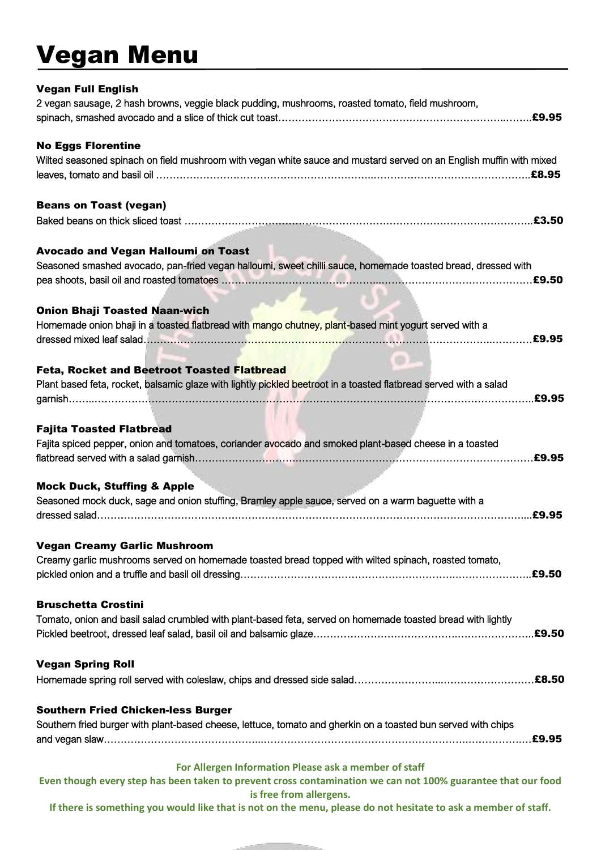## Vegan Menu

| <b>Vegan Full English</b>                                                                                           |
|---------------------------------------------------------------------------------------------------------------------|
| 2 vegan sausage, 2 hash browns, veggie black pudding, mushrooms, roasted tomato, field mushroom,                    |
|                                                                                                                     |
|                                                                                                                     |
| <b>No Eggs Florentine</b>                                                                                           |
| Wilted seasoned spinach on field mushroom with vegan white sauce and mustard served on an English muffin with mixed |
|                                                                                                                     |
|                                                                                                                     |
| <b>Beans on Toast (vegan)</b>                                                                                       |
|                                                                                                                     |
|                                                                                                                     |
|                                                                                                                     |
| <b>Avocado and Vegan Halloumi on Toast</b>                                                                          |
| Seasoned smashed avocado, pan-fried vegan halloumi, sweet chilli sauce, homemade toasted bread, dressed with        |
|                                                                                                                     |
|                                                                                                                     |
| <b>Onion Bhaji Toasted Naan-wich</b>                                                                                |
| Homemade onion bhaji in a toasted flatbread with mango chutney, plant-based mint yogurt served with a               |
|                                                                                                                     |
|                                                                                                                     |
| <b>Feta, Rocket and Beetroot Toasted Flatbread</b>                                                                  |
| Plant based feta, rocket, balsamic glaze with lightly pickled beetroot in a toasted flatbread served with a salad   |
|                                                                                                                     |
|                                                                                                                     |
|                                                                                                                     |
| <b>Fajita Toasted Flatbread</b>                                                                                     |
| Fajita spiced pepper, onion and tomatoes, coriander avocado and smoked plant-based cheese in a toasted              |
|                                                                                                                     |
|                                                                                                                     |
| <b>Mock Duck, Stuffing &amp; Apple</b>                                                                              |
| Seasoned mock duck, sage and onion stuffing, Bramley apple sauce, served on a warm baguette with a                  |
| £9.95                                                                                                               |
|                                                                                                                     |
| <b>Vegan Creamy Garlic Mushroom</b>                                                                                 |
| Creamy garlic mushrooms served on homemade toasted bread topped with wilted spinach, roasted tomato,                |
|                                                                                                                     |
|                                                                                                                     |
| <b>Bruschetta Crostini</b>                                                                                          |
| Tomato, onion and basil salad crumbled with plant-based feta, served on homemade toasted bread with lightly         |
| .£9.50                                                                                                              |
|                                                                                                                     |
|                                                                                                                     |
| <b>Vegan Spring Roll</b>                                                                                            |
|                                                                                                                     |
|                                                                                                                     |
| <b>Southern Fried Chicken-less Burger</b>                                                                           |
| Southern fried burger with plant-based cheese, lettuce, tomato and gherkin on a toasted bun served with chips       |
|                                                                                                                     |
|                                                                                                                     |
| For Allergen Information Please ask a member of staff                                                               |
| Even though every step has been taken to prevent cross contamination we can not 100% guarantee that our food        |
| is free from allergens.                                                                                             |

**If there is something you would like that is not on the menu, please do not hesitate to ask a member of staff.**